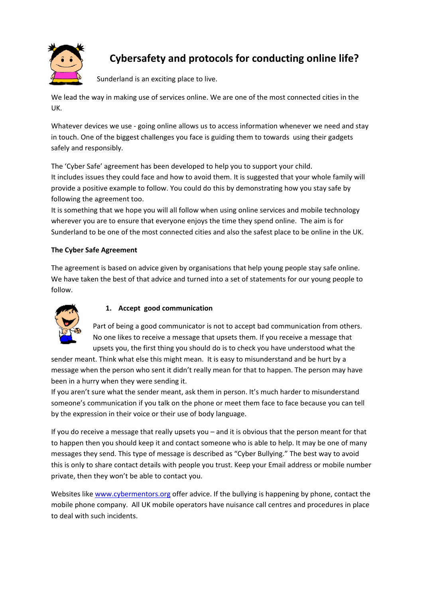

# **Cybersafety and protocols for conducting online life?**

Sunderland is an exciting place to live.

We lead the way in making use of services online. We are one of the most connected cities in the UK.

Whatever devices we use - going online allows us to access information whenever we need and stay in touch. One of the biggest challenges you face is guiding them to towards using their gadgets safely and responsibly.

The 'Cyber Safe' agreement has been developed to help you to support your child. It includes issues they could face and how to avoid them. It is suggested that your whole family will provide a positive example to follow. You could do this by demonstrating how you stay safe by following the agreement too.

It is something that we hope you will all follow when using online services and mobile technology wherever you are to ensure that everyone enjoys the time they spend online. The aim is for Sunderland to be one of the most connected cities and also the safest place to be online in the UK.

# **The Cyber Safe Agreement**

The agreement is based on advice given by organisations that help young people stay safe online. We have taken the best of that advice and turned into a set of statements for our young people to follow.



# **1. Accept good communication**

Part of being a good communicator is not to accept bad communication from others. No one likes to receive a message that upsets them. If you receive a message that upsets you, the first thing you should do is to check you have understood what the

sender meant. Think what else this might mean. It is easy to misunderstand and be hurt by a message when the person who sent it didn't really mean for that to happen. The person may have been in a hurry when they were sending it.

If you aren't sure what the sender meant, ask them in person. It's much harder to misunderstand someone's communication if you talk on the phone or meet them face to face because you can tell by the expression in their voice or their use of body language.

If you do receive a message that really upsets you – and it is obvious that the person meant for that to happen then you should keep it and contact someone who is able to help. It may be one of many messages they send. This type of message is described as "Cyber Bullying." The best way to avoid this is only to share contact details with people you trust. Keep your Email address or mobile number private, then they won't be able to contact you.

Websites like www.cybermentors.org offer advice. If the bullying is happening by phone, contact the mobile phone company. All UK mobile operators have nuisance call centres and procedures in place to deal with such incidents.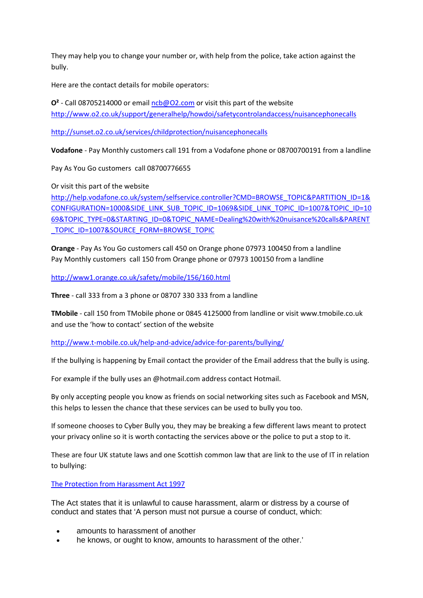They may help you to change your number or, with help from the police, take action against the bully.

Here are the contact details for mobile operators:

**O²** ‐ Call 08705214000 or email ncb@O2.com or visit this part of the website http://www.o2.co.uk/support/generalhelp/howdoi/safetycontrolandaccess/nuisancephonecalls

http://sunset.o2.co.uk/services/childprotection/nuisancephonecalls

**Vodafone** ‐ Pay Monthly customers call 191 from a Vodafone phone or 08700700191 from a landline

Pay As You Go customers call 08700776655

Or visit this part of the website

http://help.vodafone.co.uk/system/selfservice.controller?CMD=BROWSE\_TOPIC&PARTITION\_ID=1& CONFIGURATION=1000&SIDE\_LINK\_SUB\_TOPIC\_ID=1069&SIDE\_LINK\_TOPIC\_ID=1007&TOPIC\_ID=10 69&TOPIC\_TYPE=0&STARTING\_ID=0&TOPIC\_NAME=Dealing%20with%20nuisance%20calls&PARENT TOPIC\_ID=1007&SOURCE\_FORM=BROWSE\_TOPIC

**Orange** ‐ Pay As You Go customers call 450 on Orange phone 07973 100450 from a landline Pay Monthly customers call 150 from Orange phone or 07973 100150 from a landline

http://www1.orange.co.uk/safety/mobile/156/160.html

**Three** ‐ call 333 from a 3 phone or 08707 330 333 from a landline

**TMobile** ‐ call 150 from TMobile phone or 0845 4125000 from landline or visit www.tmobile.co.uk and use the 'how to contact' section of the website

http://www.t-mobile.co.uk/help-and-advice/advice-for-parents/bullying/

If the bullying is happening by Email contact the provider of the Email address that the bully is using.

For example if the bully uses an @hotmail.com address contact Hotmail.

By only accepting people you know as friends on social networking sites such as Facebook and MSN, this helps to lessen the chance that these services can be used to bully you too.

If someone chooses to Cyber Bully you, they may be breaking a few different laws meant to protect your privacy online so it is worth contacting the services above or the police to put a stop to it.

These are four UK statute laws and one Scottish common law that are link to the use of IT in relation to bullying:

The Protection from Harassment Act 1997

The Act states that it is unlawful to cause harassment, alarm or distress by a course of conduct and states that 'A person must not pursue a course of conduct, which:

- amounts to harassment of another
- he knows, or ought to know, amounts to harassment of the other.'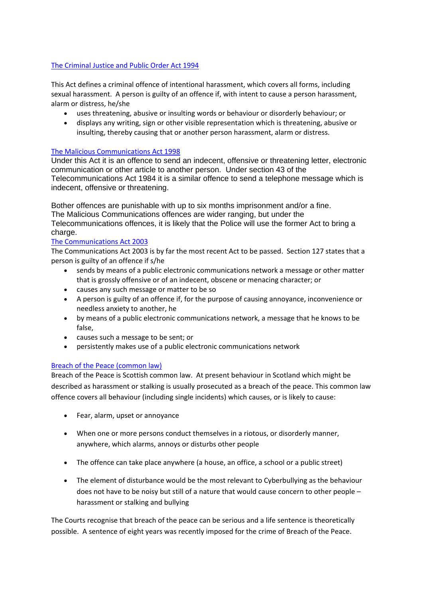#### The Criminal Justice and Public Order Act 1994

This Act defines a criminal offence of intentional harassment, which covers all forms, including sexual harassment. A person is guilty of an offence if, with intent to cause a person harassment, alarm or distress, he/she

- uses threatening, abusive or insulting words or behaviour or disorderly behaviour; or
- displays any writing, sign or other visible representation which is threatening, abusive or insulting, thereby causing that or another person harassment, alarm or distress.

#### The Malicious Communications Act 1998

Under this Act it is an offence to send an indecent, offensive or threatening letter, electronic communication or other article to another person. Under section 43 of the Telecommunications Act 1984 it is a similar offence to send a telephone message which is indecent, offensive or threatening.

Bother offences are punishable with up to six months imprisonment and/or a fine. The Malicious Communications offences are wider ranging, but under the Telecommunications offences, it is likely that the Police will use the former Act to bring a charge.

#### The Communications Act 2003

The Communications Act 2003 is by far the most recent Act to be passed. Section 127 states that a person is guilty of an offence if s/he

- sends by means of a public electronic communications network a message or other matter that is grossly offensive or of an indecent, obscene or menacing character; or
- causes any such message or matter to be so
- A person is guilty of an offence if, for the purpose of causing annoyance, inconvenience or needless anxiety to another, he
- by means of a public electronic communications network, a message that he knows to be false,
- causes such a message to be sent; or
- persistently makes use of a public electronic communications network

# Breach of the Peace (common law)

Breach of the Peace is Scottish common law. At present behaviour in Scotland which might be described as harassment or stalking is usually prosecuted as a breach of the peace. This common law offence covers all behaviour (including single incidents) which causes, or is likely to cause:

- Fear, alarm, upset or annoyance
- When one or more persons conduct themselves in a riotous, or disorderly manner, anywhere, which alarms, annoys or disturbs other people
- The offence can take place anywhere (a house, an office, a school or a public street)
- The element of disturbance would be the most relevant to Cyberbullying as the behaviour does not have to be noisy but still of a nature that would cause concern to other people – harassment or stalking and bullying

The Courts recognise that breach of the peace can be serious and a life sentence is theoretically possible. A sentence of eight years was recently imposed for the crime of Breach of the Peace.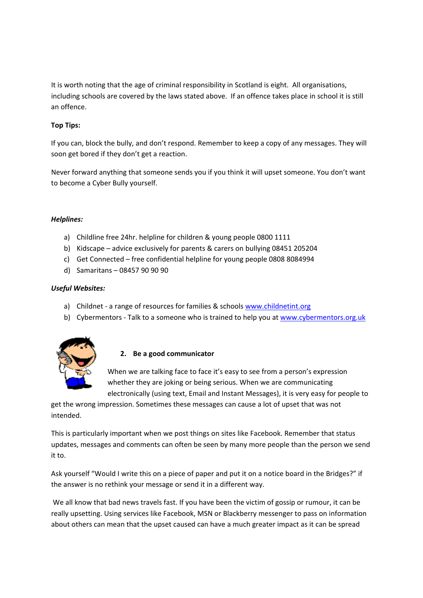It is worth noting that the age of criminal responsibility in Scotland is eight. All organisations, including schools are covered by the laws stated above. If an offence takes place in school it is still an offence.

# **Top Tips:**

If you can, block the bully, and don't respond. Remember to keep a copy of any messages. They will soon get bored if they don't get a reaction.

Never forward anything that someone sends you if you think it will upset someone. You don't want to become a Cyber Bully yourself.

#### *Helplines:*

- a) Childline free 24hr. helpline for children & young people 0800 1111
- b) Kidscape advice exclusively for parents & carers on bullying 08451 205204
- c) Get Connected free confidential helpline for young people 0808 8084994
- d) Samaritans 08457 90 90 90

# *Useful Websites:*

- a) Childnet a range of resources for families & schools www.childnetint.org
- b) Cybermentors Talk to a someone who is trained to help you at www.cybermentors.org.uk



# **2. Be a good communicator**

When we are talking face to face it's easy to see from a person's expression whether they are joking or being serious. When we are communicating electronically (using text, Email and Instant Messages), it is very easy for people to

get the wrong impression. Sometimes these messages can cause a lot of upset that was not intended.

This is particularly important when we post things on sites like Facebook. Remember that status updates, messages and comments can often be seen by many more people than the person we send it to.

Ask yourself "Would I write this on a piece of paper and put it on a notice board in the Bridges?" if the answer is no rethink your message or send it in a different way.

We all know that bad news travels fast. If you have been the victim of gossip or rumour, it can be really upsetting. Using services like Facebook, MSN or Blackberry messenger to pass on information about others can mean that the upset caused can have a much greater impact as it can be spread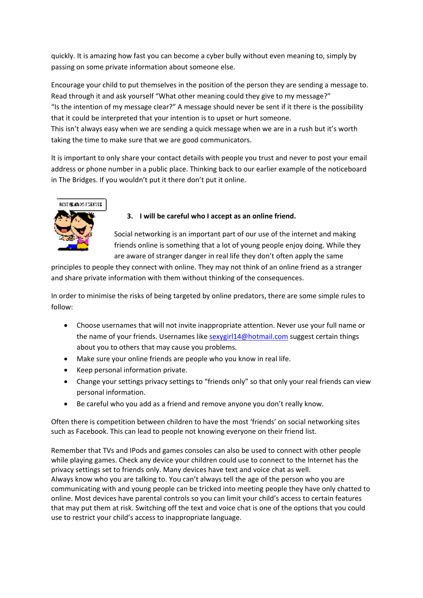quickly. It is amazing how fast you can become a cyber bully without even meaning to, simply by passing on some private information about someone else.

Encourage your child to put themselves in the position of the person they are sending a message to. Read through it and ask yourself "What other meaning could they give to my message?"

"Is the intention of my message clear?" A message should never be sent if it there is the possibility that it could be interpreted that your intention is to upset or hurt someone.

This isn't always easy when we are sending a quick message when we are in a rush but it's worth taking the time to make sure that we are good communicators.

It is important to only share your contact details with people you trust and never to post your email address or phone number in a public place. Thinking back to our earlier example of the noticeboard in The Bridges. If you wouldn't put it there don't put it online.



# **3. I will be careful who I accept as an online friend.**

Social networking is an important part of our use of the internet and making friends online is something that a lot of young people enjoy doing. While they are aware of stranger danger in real life they don't often apply the same

principles to people they connect with online. They may not think of an online friend as a stranger and share private information with them without thinking of the consequences.

In order to minimise the risks of being targeted by online predators, there are some simple rules to follow:

- Choose usernames that will not invite inappropriate attention. Never use your full name or the name of your friends. Usernames like sexygirl14@hotmail.com suggest certain things about you to others that may cause you problems.
- Make sure your online friends are people who you know in real life.
- Keep personal information private.
- Change your settings privacy settings to "friends only" so that only your real friends can view personal information.
- Be careful who you add as a friend and remove anyone you don't really know.

Often there is competition between children to have the most 'friends' on social networking sites such as Facebook. This can lead to people not knowing everyone on their friend list.

Remember that TVs and IPods and games consoles can also be used to connect with other people while playing games. Check any device your children could use to connect to the Internet has the privacy settings set to friends only. Many devices have text and voice chat as well. Always know who you are talking to. You can't always tell the age of the person who you are communicating with and young people can be tricked into meeting people they have only chatted to online. Most devices have parental controls so you can limit your child's access to certain features that may put them at risk. Switching off the text and voice chat is one of the options that you could use to restrict your child's access to inappropriate language.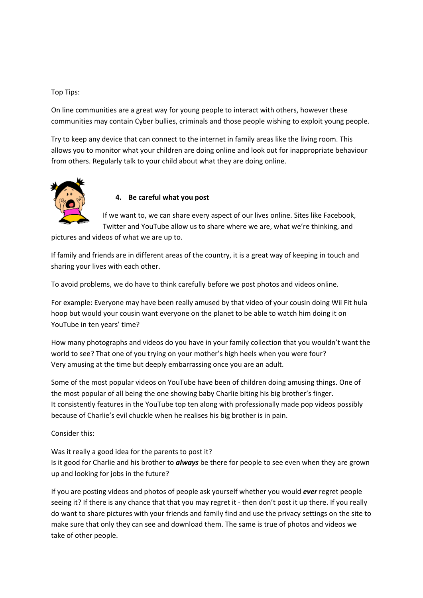#### Top Tips:

On line communities are a great way for young people to interact with others, however these communities may contain Cyber bullies, criminals and those people wishing to exploit young people.

Try to keep any device that can connect to the internet in family areas like the living room. This allows you to monitor what your children are doing online and look out for inappropriate behaviour from others. Regularly talk to your child about what they are doing online.



# **4. Be careful what you post**

If we want to, we can share every aspect of our lives online. Sites like Facebook, Twitter and YouTube allow us to share where we are, what we're thinking, and

pictures and videos of what we are up to.

If family and friends are in different areas of the country, it is a great way of keeping in touch and sharing your lives with each other.

To avoid problems, we do have to think carefully before we post photos and videos online.

For example: Everyone may have been really amused by that video of your cousin doing Wii Fit hula hoop but would your cousin want everyone on the planet to be able to watch him doing it on YouTube in ten years' time?

How many photographs and videos do you have in your family collection that you wouldn't want the world to see? That one of you trying on your mother's high heels when you were four? Very amusing at the time but deeply embarrassing once you are an adult.

Some of the most popular videos on YouTube have been of children doing amusing things. One of the most popular of all being the one showing baby Charlie biting his big brother's finger. It consistently features in the YouTube top ten along with professionally made pop videos possibly because of Charlie's evil chuckle when he realises his big brother is in pain.

Consider this:

Was it really a good idea for the parents to post it? Is it good for Charlie and his brother to *always* be there for people to see even when they are grown up and looking for jobs in the future?

If you are posting videos and photos of people ask yourself whether you would *ever* regret people seeing it? If there is any chance that that you may regret it - then don't post it up there. If you really do want to share pictures with your friends and family find and use the privacy settings on the site to make sure that only they can see and download them. The same is true of photos and videos we take of other people.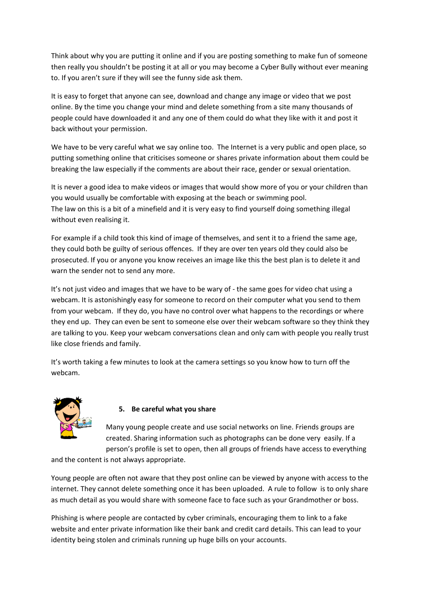Think about why you are putting it online and if you are posting something to make fun of someone then really you shouldn't be posting it at all or you may become a Cyber Bully without ever meaning to. If you aren't sure if they will see the funny side ask them.

It is easy to forget that anyone can see, download and change any image or video that we post online. By the time you change your mind and delete something from a site many thousands of people could have downloaded it and any one of them could do what they like with it and post it back without your permission.

We have to be very careful what we say online too. The Internet is a very public and open place, so putting something online that criticises someone or shares private information about them could be breaking the law especially if the comments are about their race, gender or sexual orientation.

It is never a good idea to make videos or images that would show more of you or your children than you would usually be comfortable with exposing at the beach or swimming pool. The law on this is a bit of a minefield and it is very easy to find yourself doing something illegal without even realising it.

For example if a child took this kind of image of themselves, and sent it to a friend the same age, they could both be guilty of serious offences. If they are over ten years old they could also be prosecuted. If you or anyone you know receives an image like this the best plan is to delete it and warn the sender not to send any more.

It's not just video and images that we have to be wary of - the same goes for video chat using a webcam. It is astonishingly easy for someone to record on their computer what you send to them from your webcam. If they do, you have no control over what happens to the recordings or where they end up. They can even be sent to someone else over their webcam software so they think they are talking to you. Keep your webcam conversations clean and only cam with people you really trust like close friends and family.

It's worth taking a few minutes to look at the camera settings so you know how to turn off the webcam.



# **5. Be careful what you share**

Many young people create and use social networks on line. Friends groups are created. Sharing information such as photographs can be done very easily. If a person's profile is set to open, then all groups of friends have access to everything

and the content is not always appropriate.

Young people are often not aware that they post online can be viewed by anyone with access to the internet. They cannot delete something once it has been uploaded. A rule to follow is to only share as much detail as you would share with someone face to face such as your Grandmother or boss.

Phishing is where people are contacted by cyber criminals, encouraging them to link to a fake website and enter private information like their bank and credit card details. This can lead to your identity being stolen and criminals running up huge bills on your accounts.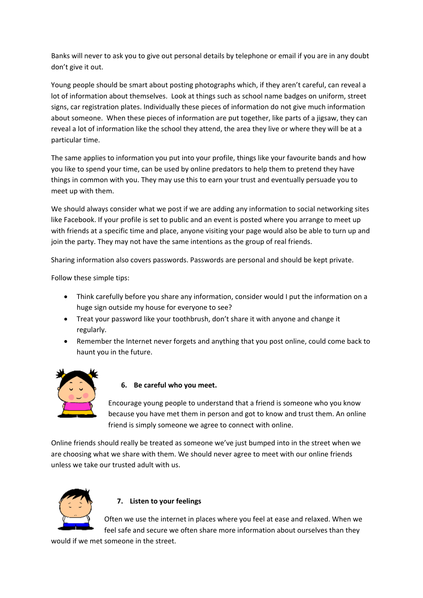Banks will never to ask you to give out personal details by telephone or email if you are in any doubt don't give it out.

Young people should be smart about posting photographs which, if they aren't careful, can reveal a lot of information about themselves. Look at things such as school name badges on uniform, street signs, car registration plates. Individually these pieces of information do not give much information about someone. When these pieces of information are put together, like parts of a jigsaw, they can reveal a lot of information like the school they attend, the area they live or where they will be at a particular time.

The same applies to information you put into your profile, things like your favourite bands and how you like to spend your time, can be used by online predators to help them to pretend they have things in common with you. They may use this to earn your trust and eventually persuade you to meet up with them.

We should always consider what we post if we are adding any information to social networking sites like Facebook. If your profile is set to public and an event is posted where you arrange to meet up with friends at a specific time and place, anyone visiting your page would also be able to turn up and join the party. They may not have the same intentions as the group of real friends.

Sharing information also covers passwords. Passwords are personal and should be kept private.

Follow these simple tips:

- Think carefully before you share any information, consider would I put the information on a huge sign outside my house for everyone to see?
- Treat your password like your toothbrush, don't share it with anyone and change it regularly.
- Remember the Internet never forgets and anything that you post online, could come back to haunt you in the future.



# **6. Be careful who you meet.**

Encourage young people to understand that a friend is someone who you know because you have met them in person and got to know and trust them. An online friend is simply someone we agree to connect with online.

Online friends should really be treated as someone we've just bumped into in the street when we are choosing what we share with them. We should never agree to meet with our online friends unless we take our trusted adult with us.



# **7. Listen to your feelings**

Often we use the internet in places where you feel at ease and relaxed. When we feel safe and secure we often share more information about ourselves than they

would if we met someone in the street.